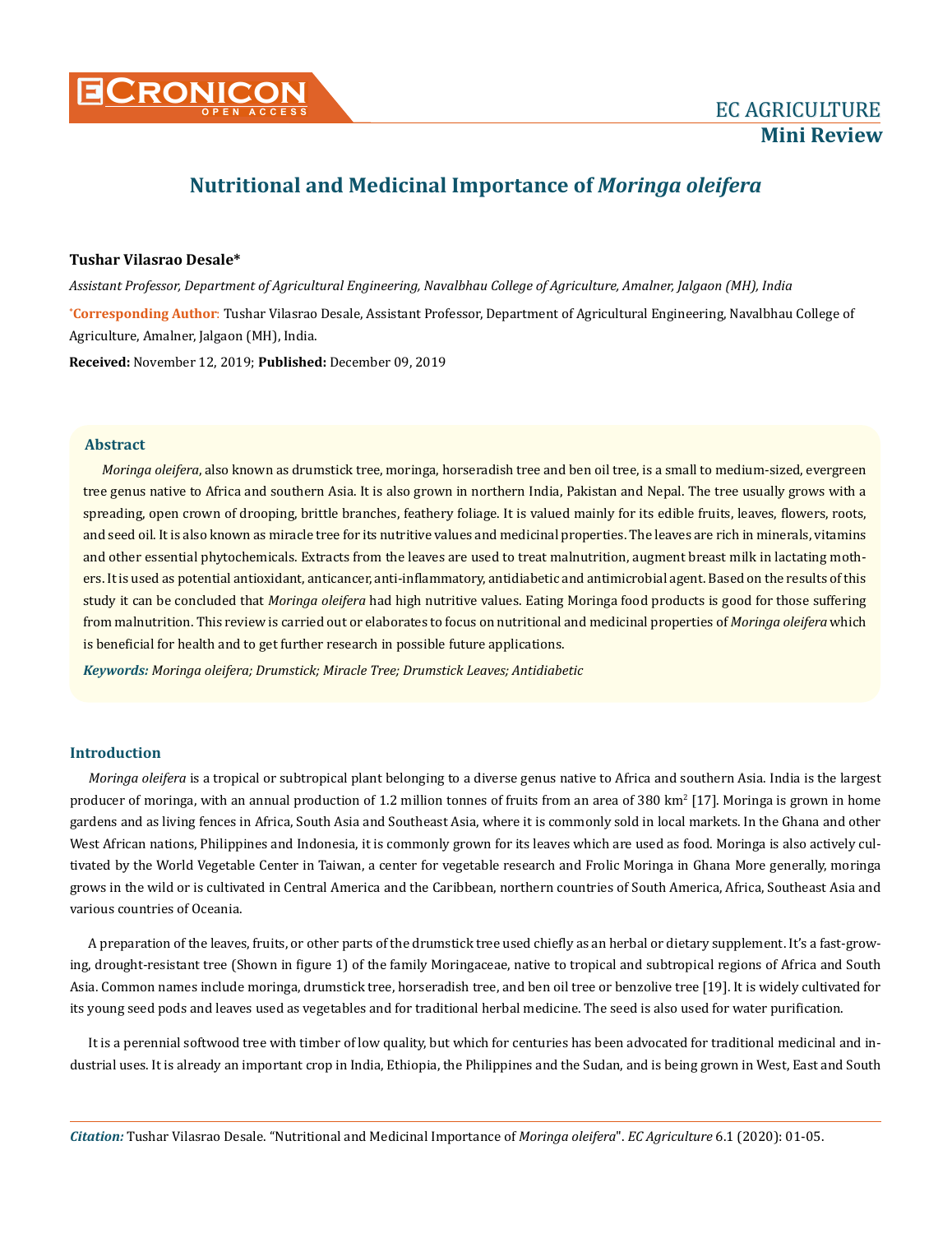

# **Nutritional and Medicinal Importance of** *Moringa oleifera*

## **Tushar Vilasrao Desale\***

**\* Corresponding Author**: Tushar Vilasrao Desale, Assistant Professor, Department of Agricultural Engineering, Navalbhau College of Agriculture, Amalner, Jalgaon (MH), India. **Received:** November 12, 2019; **Published:** December 09, 2019 *Assistant Professor, Department of Agricultural Engineering, Navalbhau College of Agriculture, Amalner, Jalgaon (MH), India*

#### **Abstract**

*Moringa oleifera*, also known as drumstick tree, moringa, horseradish tree and ben oil tree, is a small to medium-sized, evergreen tree genus native to Africa and southern Asia. It is also grown in northern India, Pakistan and Nepal. The tree usually grows with a spreading, open crown of drooping, brittle branches, feathery foliage. It is valued mainly for its edible fruits, leaves, flowers, roots, and seed oil. It is also known as miracle tree for its nutritive values and medicinal properties. The leaves are rich in minerals, vitamins and other essential phytochemicals. Extracts from the leaves are used to treat malnutrition, augment breast milk in lactating mothers. It is used as potential antioxidant, anticancer, anti-inflammatory, antidiabetic and antimicrobial agent. Based on the results of this study it can be concluded that *Moringa oleifera* had high nutritive values. Eating Moringa food products is good for those suffering from malnutrition. This review is carried out or elaborates to focus on nutritional and medicinal properties of *Moringa oleifera* which is beneficial for health and to get further research in possible future applications.

*Keywords: Moringa oleifera; Drumstick; Miracle Tree; Drumstick Leaves; Antidiabetic*

## **Introduction**

*Moringa oleifera* is a tropical or subtropical plant belonging to a diverse genus native to Africa and southern Asia. India is the largest producer of moringa, with an annual production of 1.2 million tonnes of fruits from an area of 380 km<sup>2</sup> [17]. Moringa is grown in home gardens and as living fences in Africa, South Asia and Southeast Asia, where it is commonly sold in local markets. In the Ghana and other West African nations, Philippines and Indonesia, it is commonly grown for its leaves which are used as food. Moringa is also actively cultivated by the World Vegetable Center in Taiwan, a center for vegetable research and Frolic Moringa in Ghana More generally, moringa grows in the wild or is cultivated in Central America and the Caribbean, northern countries of South America, Africa, Southeast Asia and various countries of Oceania.

A preparation of the leaves, fruits, or other parts of the drumstick tree used chiefly as an herbal or dietary supplement. It's a fast-growing, drought-resistant tree (Shown in figure 1) of the family Moringaceae, native to tropical and subtropical regions of Africa and South Asia. Common names include moringa, drumstick tree, horseradish tree, and ben oil tree or benzolive tree [19]. It is widely cultivated for its young seed pods and leaves used as vegetables and for traditional herbal medicine. The seed is also used for water purification.

It is a perennial softwood tree with timber of low quality, but which for centuries has been advocated for traditional medicinal and industrial uses. It is already an important crop in India, Ethiopia, the Philippines and the Sudan, and is being grown in West, East and South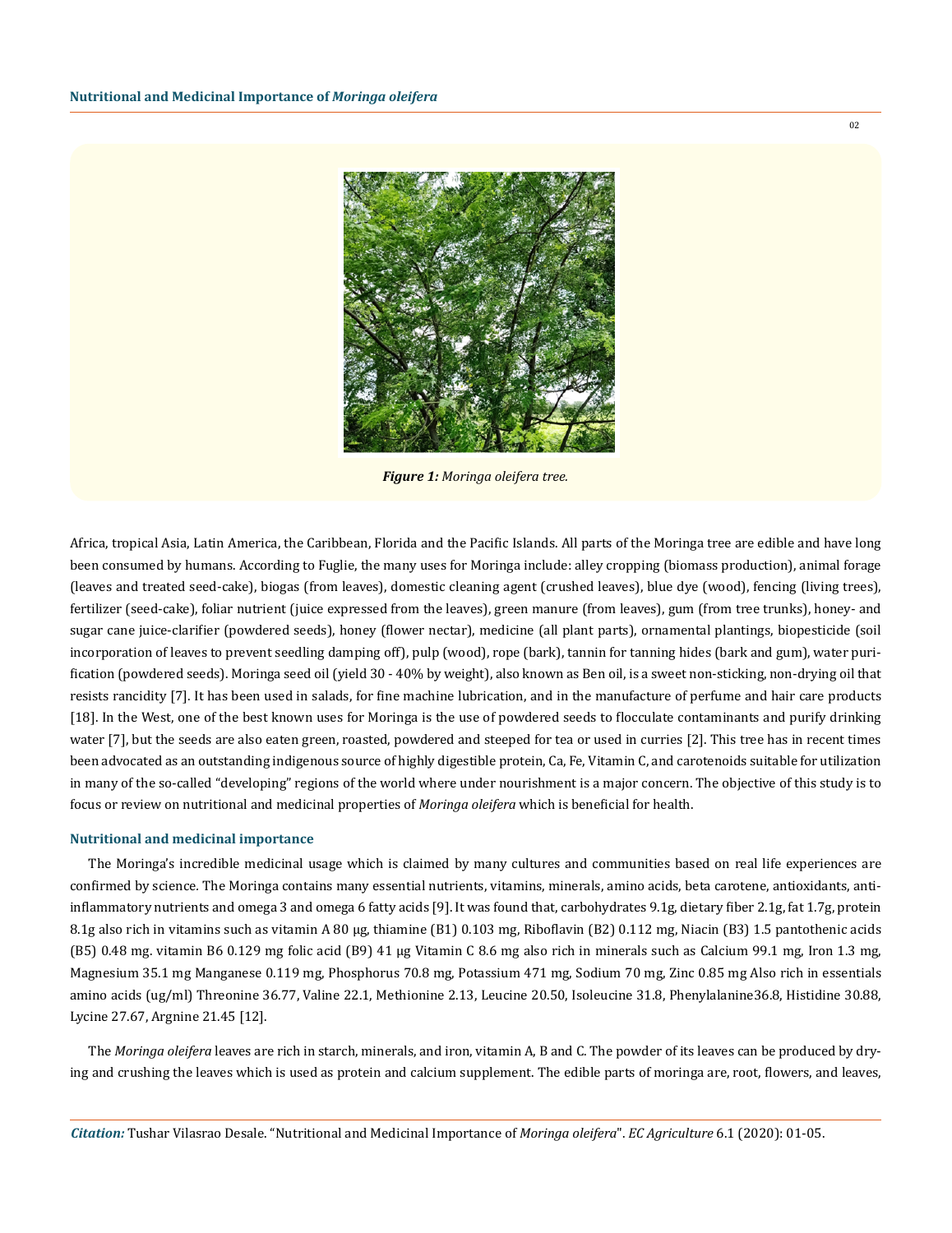

*Figure 1: Moringa oleifera tree.*

Africa, tropical Asia, Latin America, the Caribbean, Florida and the Pacific Islands. All parts of the Moringa tree are edible and have long been consumed by humans. According to Fuglie, the many uses for Moringa include: alley cropping (biomass production), animal forage (leaves and treated seed-cake), biogas (from leaves), domestic cleaning agent (crushed leaves), blue dye (wood), fencing (living trees), fertilizer (seed-cake), foliar nutrient (juice expressed from the leaves), green manure (from leaves), gum (from tree trunks), honey- and sugar cane juice-clarifier (powdered seeds), honey (flower nectar), medicine (all plant parts), ornamental plantings, biopesticide (soil incorporation of leaves to prevent seedling damping off), pulp (wood), rope (bark), tannin for tanning hides (bark and gum), water purification (powdered seeds). Moringa seed oil (yield 30 - 40% by weight), also known as Ben oil, is a sweet non-sticking, non-drying oil that resists rancidity [7]. It has been used in salads, for fine machine lubrication, and in the manufacture of perfume and hair care products [18]. In the West, one of the best known uses for Moringa is the use of powdered seeds to flocculate contaminants and purify drinking water [7], but the seeds are also eaten green, roasted, powdered and steeped for tea or used in curries [2]. This tree has in recent times been advocated as an outstanding indigenous source of highly digestible protein, Ca, Fe, Vitamin C, and carotenoids suitable for utilization in many of the so-called "developing" regions of the world where under nourishment is a major concern. The objective of this study is to focus or review on nutritional and medicinal properties of *Moringa oleifera* which is beneficial for health.

### **Nutritional and medicinal importance**

The Moringa's incredible medicinal usage which is claimed by many cultures and communities based on real life experiences are confirmed by science*.* The Moringa contains many essential nutrients, vitamins, minerals, amino acids, beta carotene, antioxidants, antiinflammatory nutrients and omega 3 and omega 6 fatty acids [9]. It was found that, carbohydrates 9.1g, dietary fiber 2.1g, fat 1.7g, protein 8.1g also rich in vitamins such as vitamin A 80 μg, thiamine (B1) 0.103 mg, Riboflavin (B2) 0.112 mg, Niacin (B3) 1.5 pantothenic acids (B5) 0.48 mg. vitamin B6 0.129 mg folic acid (B9) 41 μg Vitamin C 8.6 mg also rich in minerals such as Calcium 99.1 mg, Iron 1.3 mg, Magnesium 35.1 mg Manganese 0.119 mg, Phosphorus 70.8 mg, Potassium 471 mg, Sodium 70 mg, Zinc 0.85 mg Also rich in essentials amino acids (ug/ml) Threonine 36.77, Valine 22.1, Methionine 2.13, Leucine 20.50, Isoleucine 31.8, Phenylalanine36.8, Histidine 30.88, Lycine 27.67, Argnine 21.45 [12].

The *Moringa oleifera* leaves are rich in starch, minerals, and iron, vitamin A, B and C. The powder of its leaves can be produced by drying and crushing the leaves which is used as protein and calcium supplement. The edible parts of moringa are, root, flowers, and leaves,

*Citation:* Tushar Vilasrao Desale. "Nutritional and Medicinal Importance of *Moringa oleifera*". *EC Agriculture* 6.1 (2020): 01-05.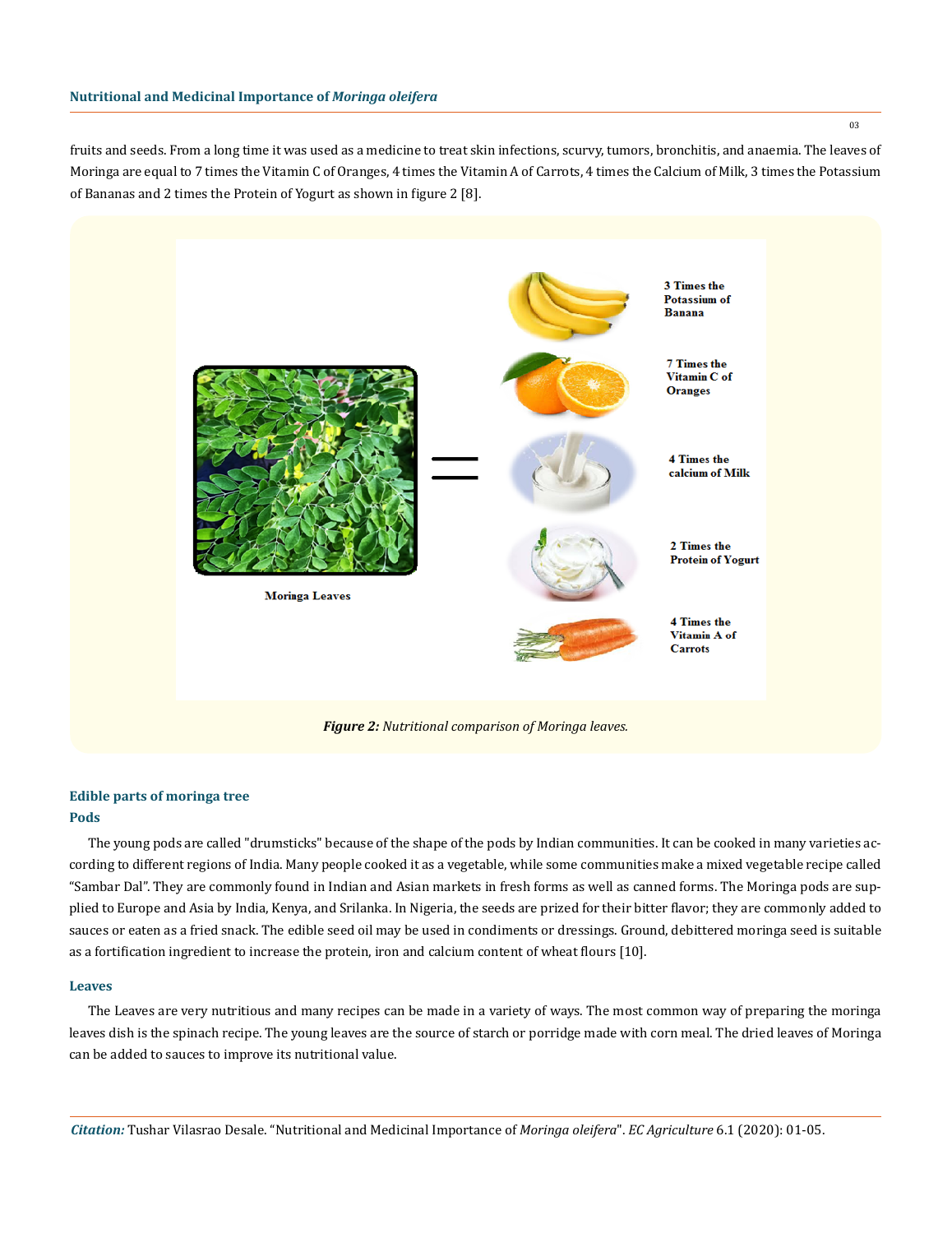fruits and seeds. From a long time it was used as a medicine to treat skin infections, scurvy, tumors, bronchitis, and anaemia. The leaves of Moringa are equal to 7 times the Vitamin C of Oranges, 4 times the Vitamin A of Carrots, 4 times the Calcium of Milk, 3 times the Potassium of Bananas and 2 times the Protein of Yogurt as shown in figure 2 [8].



# **Edible parts of moringa tree**

#### **Pods**

The young pods are called "drumsticks" because of the shape of the pods by Indian communities. It can be cooked in many varieties according to different regions of India. Many people cooked it as a vegetable, while some communities make a mixed vegetable recipe called "Sambar Dal". They are commonly found in Indian and Asian markets in fresh forms as well as canned forms. The Moringa pods are supplied to Europe and Asia by India, Kenya, and Srilanka. In Nigeria, the seeds are prized for their bitter flavor; they are commonly added to sauces or eaten as a fried snack. The edible seed oil may be used in condiments or dressings. Ground, debittered moringa seed is suitable as a fortification ingredient to increase the protein, iron and calcium content of wheat flours [10].

#### **Leaves**

The Leaves are very nutritious and many recipes can be made in a variety of ways. The most common way of preparing the moringa leaves dish is the spinach recipe. The young leaves are the source of starch or porridge made with corn meal. The dried leaves of Moringa can be added to sauces to improve its nutritional value.

*Citation:* Tushar Vilasrao Desale. "Nutritional and Medicinal Importance of *Moringa oleifera*". *EC Agriculture* 6.1 (2020): 01-05.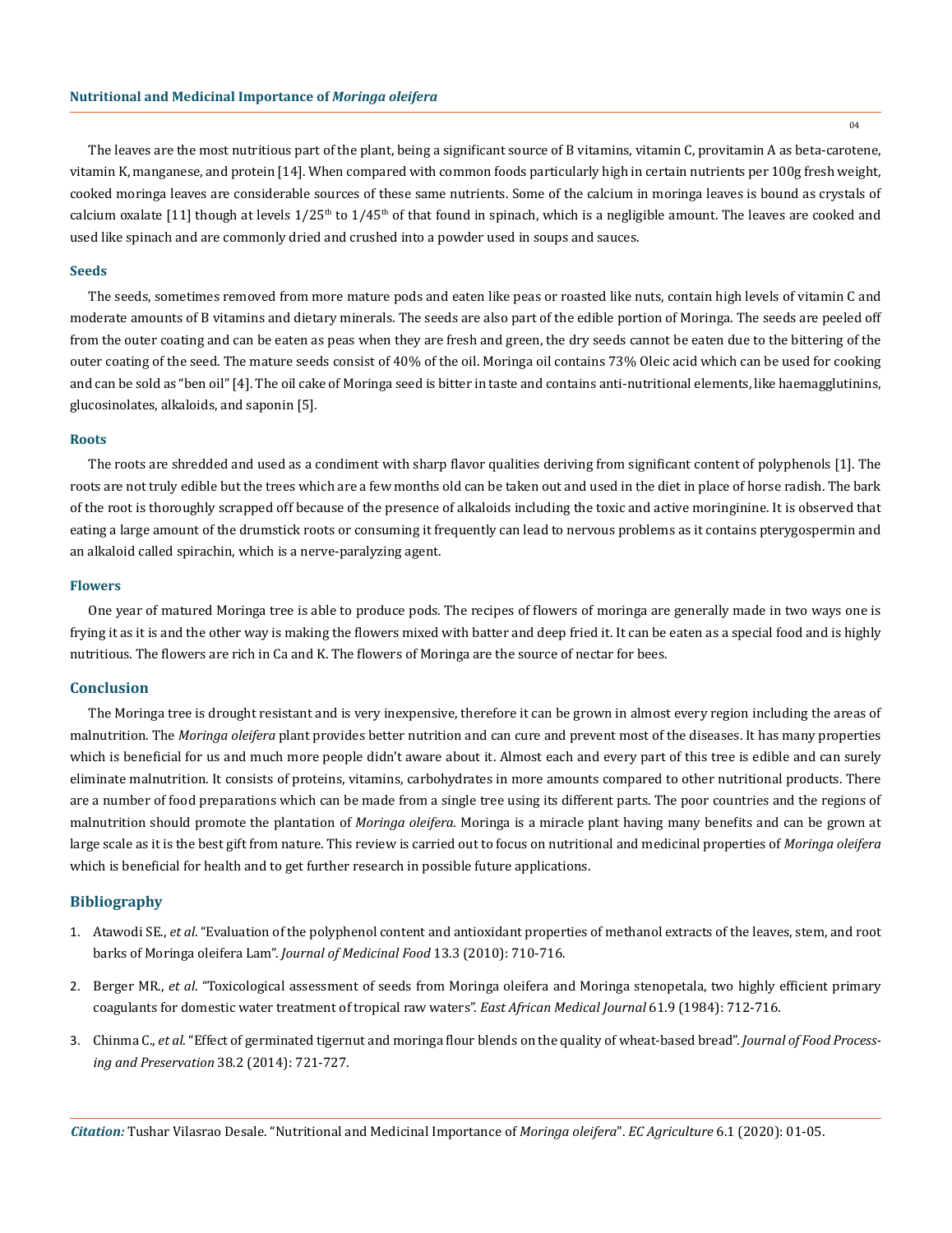The leaves are the most nutritious part of the plant, being a significant source of B vitamins, vitamin C, provitamin A as beta-carotene, vitamin K, manganese, and protein [14]. When compared with common foods particularly high in certain nutrients per 100g fresh weight, cooked moringa leaves are considerable sources of these same nutrients. Some of the calcium in moringa leaves is bound as crystals of calcium oxalate [11] though at levels  $1/25<sup>th</sup>$  to  $1/45<sup>th</sup>$  of that found in spinach, which is a negligible amount. The leaves are cooked and used like spinach and are commonly dried and crushed into a powder used in soups and sauces.

#### **Seeds**

The seeds, sometimes removed from more mature pods and eaten like peas or roasted like nuts, contain high levels of vitamin C and moderate amounts of B vitamins and dietary minerals. The seeds are also part of the edible portion of Moringa. The seeds are peeled off from the outer coating and can be eaten as peas when they are fresh and green, the dry seeds cannot be eaten due to the bittering of the outer coating of the seed. The mature seeds consist of 40% of the oil. Moringa oil contains 73% Oleic acid which can be used for cooking and can be sold as "ben oil" [4]. The oil cake of Moringa seed is bitter in taste and contains anti-nutritional elements, like haemagglutinins, glucosinolates, alkaloids, and saponin [5].

#### **Roots**

The roots are shredded and used as a condiment with sharp flavor qualities deriving from significant content of polyphenols [1]. The roots are not truly edible but the trees which are a few months old can be taken out and used in the diet in place of horse radish. The bark of the root is thoroughly scrapped off because of the presence of alkaloids including the toxic and active moringinine. It is observed that eating a large amount of the drumstick roots or consuming it frequently can lead to nervous problems as it contains pterygospermin and an alkaloid called spirachin, which is a nerve-paralyzing agent.

#### **Flowers**

One year of matured Moringa tree is able to produce pods. The recipes of flowers of moringa are generally made in two ways one is frying it as it is and the other way is making the flowers mixed with batter and deep fried it. It can be eaten as a special food and is highly nutritious. The flowers are rich in Ca and K. The flowers of Moringa are the source of nectar for bees.

#### **Conclusion**

The Moringa tree is drought resistant and is very inexpensive, therefore it can be grown in almost every region including the areas of malnutrition. The *Moringa oleifera* plant provides better nutrition and can cure and prevent most of the diseases. It has many properties which is beneficial for us and much more people didn't aware about it. Almost each and every part of this tree is edible and can surely eliminate malnutrition. It consists of proteins, vitamins, carbohydrates in more amounts compared to other nutritional products. There are a number of food preparations which can be made from a single tree using its different parts. The poor countries and the regions of malnutrition should promote the plantation of *Moringa oleifera*. Moringa is a miracle plant having many benefits and can be grown at large scale as it is the best gift from nature. This review is carried out to focus on nutritional and medicinal properties of *Moringa oleifera* which is beneficial for health and to get further research in possible future applications.

## **Bibliography**

- 1. Atawodi SE., *et al*[. "Evaluation of the polyphenol content and antioxidant properties of methanol extracts of the leaves, stem, and root](https://www.ncbi.nlm.nih.gov/pubmed/20521992)  [barks of Moringa oleifera Lam".](https://www.ncbi.nlm.nih.gov/pubmed/20521992) *Journal of Medicinal Food* 13.3 (2010): 710-716.
- 2. Berger MR., *et al*[. "Toxicological assessment of seeds from Moringa oleifera and Moringa stenopetala, two highly efficient primary](https://www.ncbi.nlm.nih.gov/pubmed/6535725) [coagulants for domestic water treatment of tropical raw waters".](https://www.ncbi.nlm.nih.gov/pubmed/6535725) *East African Medical Journal* 61.9 (1984): 712-716.
- 3. Chinma C., *et al*[. "Effect of germinated tigernut and moringa flour blends on the quality of wheat-based bread".](https://onlinelibrary.wiley.com/doi/abs/10.1111/jfpp.12023) *Journal of Food Process[ing and Preservation](https://onlinelibrary.wiley.com/doi/abs/10.1111/jfpp.12023)* 38.2 (2014): 721-727.

04